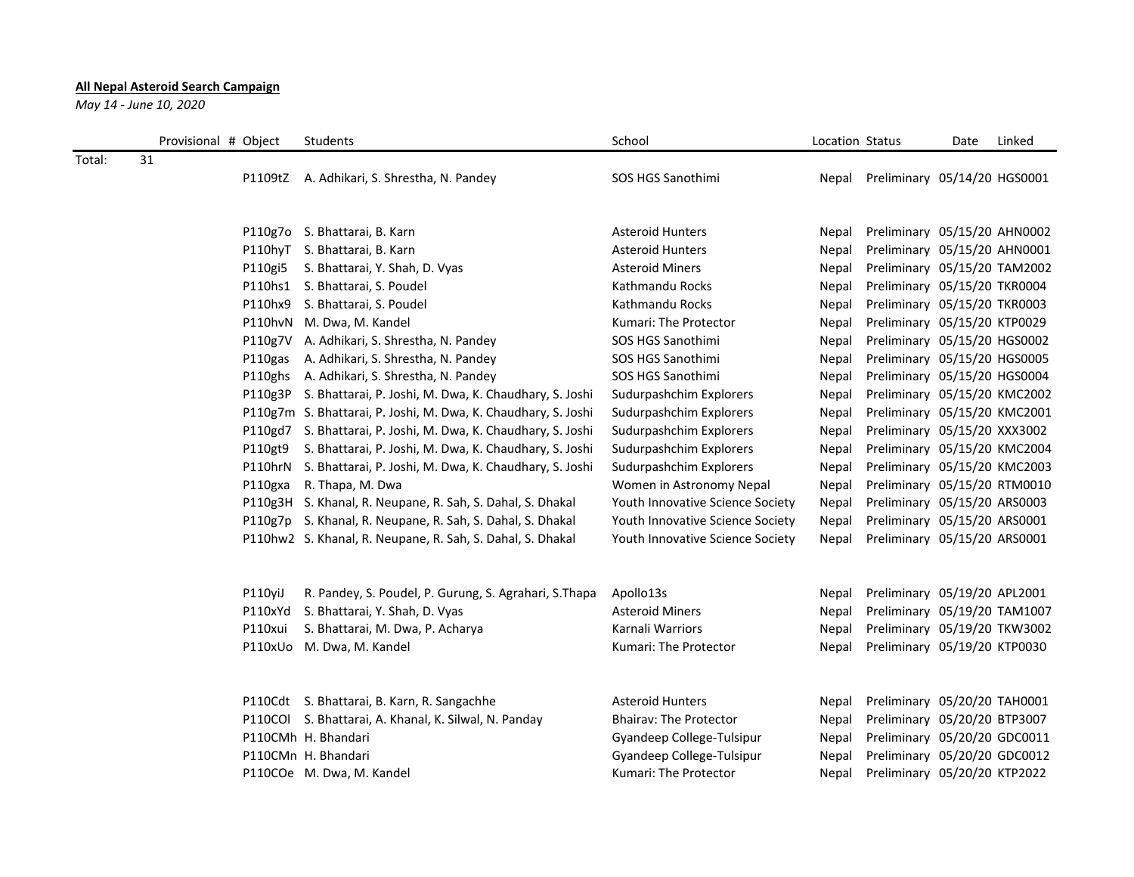## **All Nepal Asteroid Search Campaign**

*May 14 - June 10, 2020*

|        | Provisional # Object |         | Students                                                       | School                           | Location Status |                              | Date | Linked |
|--------|----------------------|---------|----------------------------------------------------------------|----------------------------------|-----------------|------------------------------|------|--------|
| Total: | 31                   |         |                                                                |                                  |                 |                              |      |        |
|        |                      |         | P1109tZ A. Adhikari, S. Shrestha, N. Pandey                    | SOS HGS Sanothimi                | Nepal           | Preliminary 05/14/20 HGS0001 |      |        |
|        |                      |         |                                                                |                                  |                 |                              |      |        |
|        |                      |         | P110g7o S. Bhattarai, B. Karn                                  | <b>Asteroid Hunters</b>          | Nepal           | Preliminary 05/15/20 AHN0002 |      |        |
|        |                      |         | P110hyT S. Bhattarai, B. Karn                                  | <b>Asteroid Hunters</b>          | Nepal           | Preliminary 05/15/20 AHN0001 |      |        |
|        |                      |         | P110gi5 S. Bhattarai, Y. Shah, D. Vyas                         | <b>Asteroid Miners</b>           | Nepal           | Preliminary 05/15/20 TAM2002 |      |        |
|        |                      |         | P110hs1 S. Bhattarai, S. Poudel                                | Kathmandu Rocks                  | Nepal           | Preliminary 05/15/20 TKR0004 |      |        |
|        |                      |         | P110hx9 S. Bhattarai, S. Poudel                                | Kathmandu Rocks                  | Nepal           | Preliminary 05/15/20 TKR0003 |      |        |
|        |                      |         | P110hvN M. Dwa, M. Kandel                                      | Kumari: The Protector            | Nepal           | Preliminary 05/15/20 KTP0029 |      |        |
|        |                      |         | P110g7V A. Adhikari, S. Shrestha, N. Pandey                    | SOS HGS Sanothimi                | Nepal           | Preliminary 05/15/20 HGS0002 |      |        |
|        |                      |         | P110gas A. Adhikari, S. Shrestha, N. Pandey                    | SOS HGS Sanothimi                | Nepal           | Preliminary 05/15/20 HGS0005 |      |        |
|        |                      |         | P110ghs A. Adhikari, S. Shrestha, N. Pandey                    | SOS HGS Sanothimi                | Nepal           | Preliminary 05/15/20 HGS0004 |      |        |
|        |                      |         | P110g3P S. Bhattarai, P. Joshi, M. Dwa, K. Chaudhary, S. Joshi | Sudurpashchim Explorers          | Nepal           | Preliminary 05/15/20 KMC2002 |      |        |
|        |                      |         | P110g7m S. Bhattarai, P. Joshi, M. Dwa, K. Chaudhary, S. Joshi | Sudurpashchim Explorers          | Nepal           | Preliminary 05/15/20 KMC2001 |      |        |
|        |                      |         | P110gd7 S. Bhattarai, P. Joshi, M. Dwa, K. Chaudhary, S. Joshi | Sudurpashchim Explorers          | Nepal           | Preliminary 05/15/20 XXX3002 |      |        |
|        |                      | P110gt9 | S. Bhattarai, P. Joshi, M. Dwa, K. Chaudhary, S. Joshi         | Sudurpashchim Explorers          | Nepal           | Preliminary 05/15/20 KMC2004 |      |        |
|        |                      |         | P110hrN S. Bhattarai, P. Joshi, M. Dwa, K. Chaudhary, S. Joshi | Sudurpashchim Explorers          | Nepal           | Preliminary 05/15/20 KMC2003 |      |        |
|        |                      | P110gxa | R. Thapa, M. Dwa                                               | Women in Astronomy Nepal         | Nepal           | Preliminary 05/15/20 RTM0010 |      |        |
|        |                      |         | P110g3H S. Khanal, R. Neupane, R. Sah, S. Dahal, S. Dhakal     | Youth Innovative Science Society | Nepal           | Preliminary 05/15/20 ARS0003 |      |        |
|        |                      |         | P110g7p S. Khanal, R. Neupane, R. Sah, S. Dahal, S. Dhakal     | Youth Innovative Science Society | Nepal           | Preliminary 05/15/20 ARS0001 |      |        |
|        |                      |         | P110hw2 S. Khanal, R. Neupane, R. Sah, S. Dahal, S. Dhakal     | Youth Innovative Science Society | Nepal           | Preliminary 05/15/20 ARS0001 |      |        |
|        |                      |         |                                                                |                                  |                 |                              |      |        |
|        |                      | P110yiJ | R. Pandey, S. Poudel, P. Gurung, S. Agrahari, S. Thapa         | Apollo13s                        | Nepal           | Preliminary 05/19/20 APL2001 |      |        |
|        |                      | P110xYd | S. Bhattarai, Y. Shah, D. Vyas                                 | <b>Asteroid Miners</b>           | Nepal           | Preliminary 05/19/20 TAM1007 |      |        |
|        |                      | P110xui | S. Bhattarai, M. Dwa, P. Acharya                               | Karnali Warriors                 | Nepal           | Preliminary 05/19/20 TKW3002 |      |        |
|        |                      |         | P110xUo M. Dwa, M. Kandel                                      | Kumari: The Protector            | Nepal           | Preliminary 05/19/20 KTP0030 |      |        |
|        |                      |         |                                                                |                                  |                 |                              |      |        |
|        |                      |         | P110Cdt S. Bhattarai, B. Karn, R. Sangachhe                    | <b>Asteroid Hunters</b>          | Nepal           | Preliminary 05/20/20 TAH0001 |      |        |
|        |                      |         | P110COl S. Bhattarai, A. Khanal, K. Silwal, N. Panday          | <b>Bhairay: The Protector</b>    | Nepal           | Preliminary 05/20/20 BTP3007 |      |        |
|        |                      |         | P110CMh H. Bhandari                                            | Gyandeep College-Tulsipur        | Nepal           | Preliminary 05/20/20 GDC0011 |      |        |
|        |                      |         | P110CMn H. Bhandari                                            | Gyandeep College-Tulsipur        | Nepal           | Preliminary 05/20/20 GDC0012 |      |        |
|        |                      |         | P110COe M. Dwa, M. Kandel                                      | Kumari: The Protector            | Nepal           | Preliminary 05/20/20 KTP2022 |      |        |
|        |                      |         |                                                                |                                  |                 |                              |      |        |